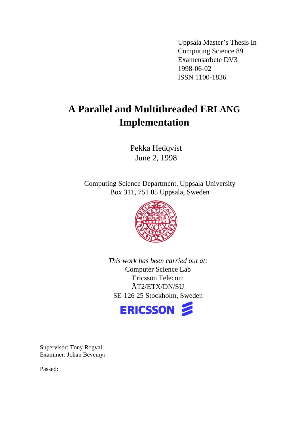Uppsala Master's Thesis In Computing Science 89 Examensarbete DV3 1998-06-02 ISSN 1100-1836

# **A Parallel and Multithreaded ERLANG Implementation**

Pekka Hedqvist June 2, 1998

Computing Science Department, Uppsala University Box 311, 751 05 Uppsala, Sweden



*This work has been carried out at:* Computer Science Lab Ericsson Telecom ÄT2/ETX/DN/SU SE-126 25 Stockholm, Sweden



Supervisor: Tony Rogvall Examiner: Johan Bevemyr

Passed: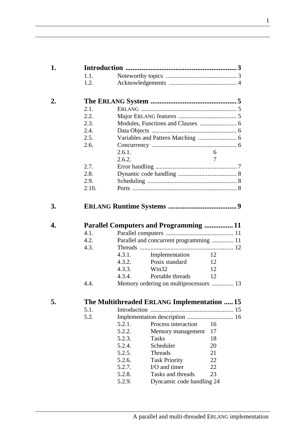| 1. |                                              |        |                                             |    |  |
|----|----------------------------------------------|--------|---------------------------------------------|----|--|
|    | 1.1.                                         |        |                                             |    |  |
|    | 1.2.                                         |        |                                             |    |  |
| 2. |                                              |        |                                             |    |  |
|    | 2.1.                                         |        |                                             |    |  |
|    | 2.2.                                         |        |                                             |    |  |
|    | 2.3.                                         |        |                                             |    |  |
|    | 2.4.                                         |        |                                             |    |  |
|    | 2.5.                                         |        |                                             |    |  |
|    | 2.6.                                         |        |                                             |    |  |
|    |                                              | 2.6.1. |                                             | 6  |  |
|    |                                              | 2.6.2. |                                             | 7  |  |
|    | 2.7.                                         |        |                                             |    |  |
|    | 2.8.                                         |        |                                             |    |  |
|    | 2.9.                                         |        |                                             |    |  |
|    | 2.10.                                        |        |                                             |    |  |
| 3. |                                              |        |                                             |    |  |
| 4. | <b>Parallel Computers and Programming 11</b> |        |                                             |    |  |
|    | 4.1.                                         |        |                                             |    |  |
|    | 4.2.                                         |        | Parallel and concurrent programming  11     |    |  |
|    | 4.3.                                         |        |                                             |    |  |
|    |                                              | 4.3.1. | Implementation                              | 12 |  |
|    |                                              | 4.3.2. | Posix standard                              | 12 |  |
|    |                                              | 4.3.3. | Win32                                       | 12 |  |
|    |                                              | 4.3.4. | Portable threads                            | 12 |  |
|    | 4.4.                                         |        | Memory ordering on multiprocessors  13      |    |  |
|    |                                              |        |                                             |    |  |
| 5. |                                              |        | The Multithreaded ERLANG Implementation  15 |    |  |
|    | 5.1.                                         |        |                                             |    |  |
|    | 5.2.                                         |        | Implementation description  16              |    |  |
|    |                                              | 5.2.1. | Process interaction                         | 16 |  |
|    |                                              | 5.2.2. | Memory management                           | 17 |  |
|    |                                              | 5.2.3. | <b>Tasks</b>                                | 18 |  |
|    |                                              | 5.2.4. | Scheduler                                   | 20 |  |
|    |                                              | 5.2.5. | Threads                                     | 21 |  |
|    |                                              | 5.2.6. | <b>Task Priority</b>                        | 22 |  |
|    |                                              | 5.2.7. | I/O and timer                               | 22 |  |
|    |                                              | 5.2.8. | Tasks and threads                           | 23 |  |
|    |                                              | 5.2.9. | Dyncamic code handling 24                   |    |  |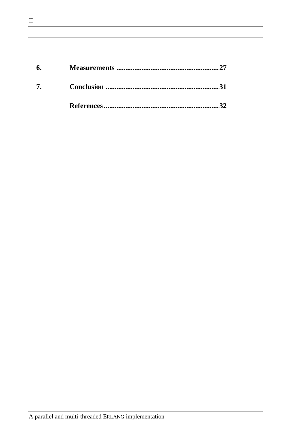| 7.72 |  |
|------|--|
|      |  |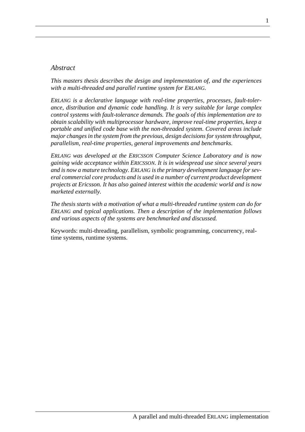#### *Abstract*

*This masters thesis describes the design and implementation of, and the experiences with a multi-threaded and parallel runtime system for ERLANG.*

*ERLANG is a declarative language with real-time properties, processes, fault-tolerance, distribution and dynamic code handling. It is very suitable for large complex control systems with fault-tolerance demands. The goals of this implementation are to obtain scalability with multiprocessor hardware, improve real-time properties, keep a portable and unified code base with the non-threaded system. Covered areas include major changes in the system from the previous, design decisions for system throughput, parallelism, real-time properties, general improvements and benchmarks.*

*ERLANG was developed at the ERICSSON Computer Science Laboratory and is now gaining wide acceptance within ERICSSON. It is in widespread use since several years and is now a mature technology. ERLANG is the primary development language for several commercial core products and is used in a number of current product development projects at Ericsson. It has also gained interest within the academic world and is now marketed externally.* 

*The thesis starts with a motivation of what a multi-threaded runtime system can do for ERLANG and typical applications. Then a description of the implementation follows and various aspects of the systems are benchmarked and discussed.*

Keywords: multi-threading, parallelism, symbolic programming, concurrency, realtime systems, runtime systems.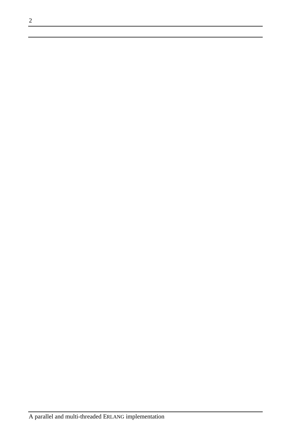<u> 1989 - Johann Stein, marwolaethau a bh</u>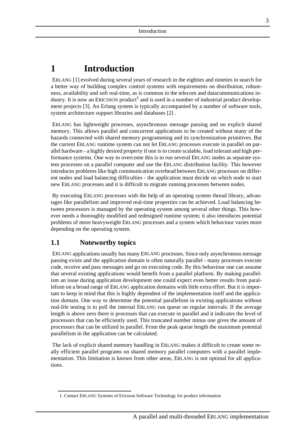# **1 Introduction**

ERLANG [1] evolved during several years of research in the eighties and nineties in search for a better way of building complex control systems with requirements on distribution, robustness, availability and soft real-time, as is common in the telecom and datacommunications industry. It is now an ERICSSON product<sup>1</sup> and is used in a number of industrial product development projects [3]. An Erlang system is typically accompanied by a number of software tools, system architecture support libraries and databases [2] .

ERLANG has lightweight processes, asynchronous message passing and no explicit shared memory. This allows parallel and concurrent applications to be created without many of the hazards connected with shared memory programming and its synchronization primitives. But the current ERLANG runtime system can not let ERLANG processes execute in parallel on parallel hardware - a highly desired property if one is to create scalable, load tolerant and high performance systems. One way to overcome this is to run several ERLANG nodes as separate system processes on a parallel computer and use the ERLANG distribution facility. This however introduces problems like high communication overhead between ERLANG processes on different nodes and load balancing difficulties - the application must decide on which node to start new ERLANG processes and it is difficult to migrate running processes between nodes.

By executing ERLANG processes with the help of an operating system thread library, advantages like parallelism and improved real-time properties can be achieved. Load balancing between processors is managed by the operating system among several other things. This however needs a thoroughly modified and redesigned runtime system; it also introduces potential problems of more heavyweight ERLANG processes and a system which behaviour varies more depending on the operating system.

## **1.1 Noteworthy topics**

ERLANG applications usually has many ERLANG processes. Since only asynchronous message passing exists and the application domain is often naturally parallel - many processes execute code, receive and pass messages and go on executing code. By this behaviour one can assume that several existing applications would benefit from a parallel platform. By making parallelism an issue during application development one could expect even better results from parallelism on a broad range of ERLANG application domains with little extra effort. But it is important to keep in mind that this is highly dependent of the implementation itself and the application domain. One way to determine the potential parallelism in existing applications without real-life testing is to poll the internal ERLANG run queue on regular intervals. If the average length is above zero there is processes that can execute in parallel and it indicates the level of processors that can be efficiently used. This truncated number minus one gives the amount of processors that can be utilized in parallel. From the peak queue length the maximum potential parallelism in the application can be calculated.

The lack of explicit shared memory handling in ERLANG makes it difficult to create some really efficient parallel programs on shared memory parallel computers with a parallel implementation. This limitation is known from other areas, ERLANG is not optimal for all applications.

<sup>1.</sup> Contact ERLANG Systems of Ericsson Software Technology for product information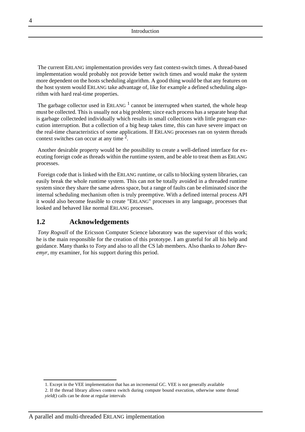The current ERLANG implementation provides very fast context-switch times. A thread-based implementation would probably not provide better switch times and would make the system more dependent on the hosts scheduling algorithm. A good thing would be that any features on the host system would ERLANG take advantage of, like for example a defined scheduling algorithm with hard real-time properties.

The garbage collector used in ERLANG  $<sup>1</sup>$  cannot be interrupted when started, the whole heap</sup> must be collected. This is usually not a big problem; since each process has a separate heap that is garbage collecteded individually which results in small collections with little program execution interruption. But a collection of a big heap takes time, this can have severe impact on the real-time characteristics of some applications. If ERLANG processes ran on system threads context switches can occur at any time  $2$ .

Another desirable property would be the possibility to create a well-defined interface for executing foreign code as threads within the runtime system, and be able to treat them as ERLANG processes.

Foreign code that is linked with the ERLANG runtime, or calls to blocking system libraries, can easily break the whole runtime system. This can not be totally avoided in a threaded runtime system since they share the same adress space, but a range of faults can be eliminated since the internal scheduling mechanism often is truly preemptive. With a defined internal process API it would also become feasible to create "ERLANG" processes in any language, processes that looked and behaved like normal ERLANG processes.

### **1.2 Acknowledgements**

*Tony Rogvall* of the Ericsson Computer Science laboratory was the supervisor of this work; he is the main responsible for the creation of this prototype. I am grateful for all his help and guidance. Many thanks to *Tony* and also to all the CS lab members. Also thanks to *Johan Bevemyr*, my examiner, for his support during this period.

<sup>1.</sup> Except in the VEE implementation that has an incremental GC. VEE is not generally available

<sup>2.</sup> If the thread library allows context switch during compute bound execution, otherwise some thread *yield()* calls can be done at regular intervals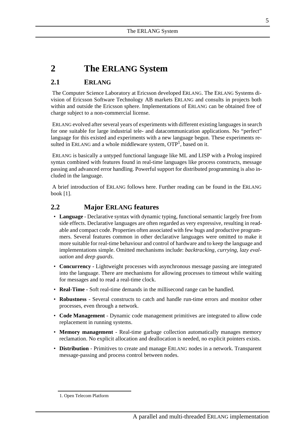## **2 The ERLANG System**

## **2.1 ERLANG**

The Computer Science Laboratory at Ericsson developed ERLANG. The ERLANG Systems division of Ericsson Software Technology AB markets ERLANG and consults in projects both within and outside the Ericsson sphere. Implementations of ERLANG can be obtained free of charge subject to a non-commercial license.

ERLANG evolved after several years of experiments with different existing languages in search for one suitable for large industrial tele- and datacommunication applications. No "perfect" language for this existed and experiments with a new language begun. These experiments resulted in ERLANG and a whole middleware system,  $\text{OTP}^1$ , based on it.

ERLANG is basically a untyped functional language like ML and LISP with a Prolog inspired syntax combined with features found in real-time languages like process constructs, message passing and advanced error handling. Powerful support for distributed programming is also included in the language.

A brief introduction of ERLANG follows here. Further reading can be found in the ERLANG book [1].

## **2.2 Major ERLANG features**

- **Language** Declarative syntax with dynamic typing, functional semantic largely free from side effects. Declarative languages are often regarded as very expressive, resulting in readable and compact code. Properties often associated with few bugs and productive programmers. Several features common in other declarative languages were omitted to make it more suitable for real-time behaviour and control of hardware and to keep the language and implementations simple. Omitted mechanisms include: *backtracking, currying, lazy evaluation* and *deep guards*.
- **Concurrency** Lightweight processes with asynchronous message passing are integrated into the language. There are mechanisms for allowing processes to timeout while waiting for messages and to read a real-time clock.
- **Real-Time** Soft real-time demands in the millisecond range can be handled.
- **Robustness** Several constructs to catch and handle run-time errors and monitor other processes, even through a network.
- **Code Management** Dynamic code management primitives are integrated to allow code replacement in running systems.
- **Memory management** Real-time garbage collection automatically manages memory reclamation. No explicit allocation and deallocation is needed, no explicit pointers exists.
- **Distribution** Primitives to create and manage ERLANG nodes in a network. Transparent message-passing and process control between nodes.

<sup>1.</sup> Open Telecom Platform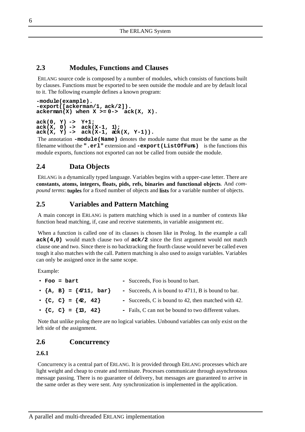## **2.3 Modules, Functions and Clauses**

ERLANG source code is composed by a number of modules, which consists of functions built by clauses. Functions must be exported to be seen outside the module and are by default local to it. The following example defines a known program:

```
-module(example).
-export([ackerman/1, ack/2]).
ack(x) when X \ge 0 \rightarrow ack(X, X).
ack(0, Y) -> Y+1;
```

```
ack(X, 0) -> ack(X-1, 1); 
ack(X, Y) -> ack(X-1, ack(X, Y-1)).
```
The annotation **-module(Name)** denotes the module name that must be the same as the filename without the **".erl"** extension and **-export(ListOfFuns)** is the functions this module exports, functions not exported can not be called from outside the module.

## **2.4 Data Objects**

ERLANG is a dynamically typed language. Variables begins with a upper-case letter. There are **constants, atoms, integers, floats, pids, refs, binaries and functional objects**. And *compound terms*: **tuples** for a fixed number of objects and **lists** for a variable number of objects.

## **2.5 Variables and Pattern Matching**

A main concept in ERLANG is pattern matching which is used in a number of contexts like function head matching, if, case and receive statements, in variable assignment etc.

When a function is called one of its clauses is chosen like in Prolog. In the example a call **ack(4,0)** would match clause two of **ack/2** since the first argument would not match clause one and two. Since there is no backtracking the fourth clause would never be called even tough it also matches with the call. Pattern matching is also used to assign variables. Variables can only be assigned once in the same scope.

Example:

| $\cdot$ Foo = bart       | - Succeeds, Foo is bound to bart.                    |
|--------------------------|------------------------------------------------------|
| • ${A, B} = {4711, bar}$ | - Succeeds, A is bound to 4711, B is bound to bar.   |
| • {C, C} = {42, 42}      | - Succeeds, C is bound to 42, then matched with 42.  |
| • {C, C} = {13, 42}      | - Fails, C can not be bound to two different values. |

Note that unlike prolog there are no logical variables. Unbound variables can only exist on the left side of the assignment.

## **2.6 Concurrency**

#### **2.6.1**

Concurrency is a central part of ERLANG. It is provided through ERLANG processes which are light weight and cheap to create and terminate. Processes communicate through asynchronous message passing. There is no guarantee of delivery, but messages are guaranteed to arrive in the same order as they were sent. Any synchronization is implemented in the application.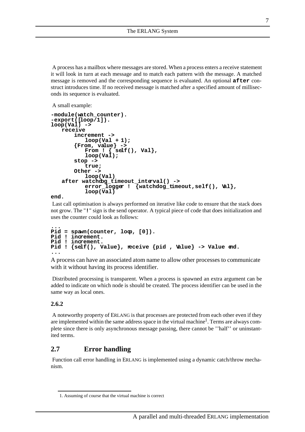A process has a mailbox where messages are stored. When a process enters a receive statement it will look in turn at each message and to match each pattern with the message. A matched message is removed and the corresponding sequence is evaluated. An optional **after** construct introduces time. If no received message is matched after a specified amount of milliseconds its sequence is evaluated.

A small example:

```
-module(watch_counter).
-export([loop/1]).
loop(Val) ->
   receive
       increment ->
          loop(Val + 1);
       {From, value} -> 
           From ! { self(), Val},
           loop(Val);
       stop -> 
          true;
       Other -> 
          loop(Val)
   after watchdog_timeout_interval() ->
           error_logger ! {watchdog_timeout,self(), Val},
          loop(Val)
```
**end.**

Last call optimisation is always performed on iterative like code to ensure that the stack does not grow. The "**!**" sign is the send operator. A typical piece of code that does initialization and uses the counter could look as follows:

```
...
Pid = spawn(counter, loop, [0]).
Pid ! increment.
Pid ! increment.
Pid ! {self(), Value}, receive {pid , Value} -> Value end.
...
```
A process can have an associated atom name to allow other processes to communicate with it without having its process identifier.

Distributed processing is transparent. When a process is spawned an extra argument can be added to indicate on which node is should be created. The process identifier can be used in the same way as local ones.

### **2.6.2**

A noteworthy property of ERLANG is that processes are protected from each other even if they are implemented within the same address space in the virtual machine<sup>1</sup>. Terms are always complete since there is only asynchronous message passing, there cannot be ''half'' or uninstantited terms.

## **2.7 Error handling**

Function call error handling in ERLANG is implemented using a dynamic catch/throw mechanism.

<sup>1.</sup> Assuming of course that the virtual machine is correct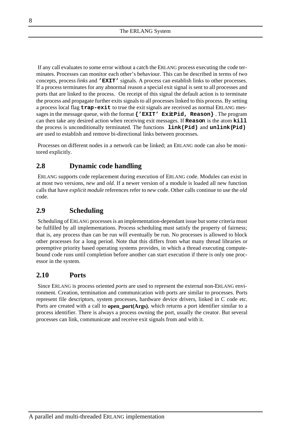If any call evaluates to some error without a catch the ERLANG process executing the code terminates. Processes can monitor each other's behaviour. This can be described in terms of two concepts, process *links* and **'EXIT'** signals. A process can establish links to other processes. If a process terminates for any abnormal reason a special exit signal is sent to all processes and ports that are linked to the process. On receipt of this signal the default action is to terminate the process and propagate further exits signals to all processes linked to this process. By setting a process local flag **trap-exit** to true the exit signals are received as normal ERLANG messages in the message queue, with the format **{'EXIT' ExitPid, Reason}** . The program can then take any desired action when receiving exit messages. If **Reason** is the atom **kill** the process is unconditionally terminated. The functions **link(Pid)** and **unlink(Pid)** are used to establish and remove bi-directional links between processes.

Processes on different nodes in a network can be linked; an ERLANG node can also be monitored explicitly.

## **2.8 Dynamic code handling**

ERLANG supports code replacement during execution of ERLANG code. Modules can exist in at most two versions, *new* and *old*. If a newer version of a module is loaded all new function calls that have *explicit module* references refer to *new* code. Other calls continue to use the *old* code.

## **2.9 Scheduling**

Scheduling of ERLANG processes is an implementation-dependant issue but some criteria must be fulfilled by all implementations. Process scheduling must satisfy the property of fairness; that is, any process than can be run will eventually be run. No processes is allowed to block other processes for a long period. Note that this differs from what many thread libraries or preemptive priority based operating systems provides, in which a thread executing computebound code runs until completion before another can start execution if there is only one processor in the system.

## **2.10 Ports**

Since ERLANG is process oriented *ports* are used to represent the external non-ERLANG environment. Creation, termination and communication with ports are similar to processes. Ports represent file descriptors, system processes, hardware device drivers, linked in C code etc. Ports are created with a call to **open port(Args)**, which returns a port identifier similar to a process identifier. There is always a process owning the port, usually the creator. But several processes can link, communicate and receive exit signals from and with it.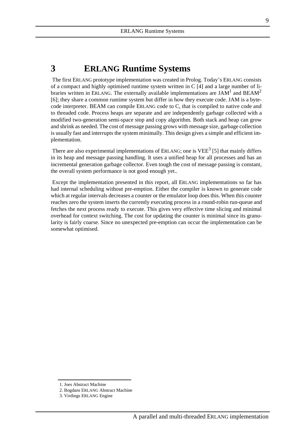9

## **3 ERLANG Runtime Systems**

The first ERLANG prototype implementation was created in Prolog. Today's ERLANG consists of a compact and highly optimised runtime system written in  $C$  [4] and a large number of libraries written in ERLANG. The externally available implementations are JAM<sup>1</sup> and BEAM<sup>2</sup> [6]; they share a common runtime system but differ in how they execute code. JAM is a bytecode interpreter. BEAM can compile ERLANG code to C, that is compiled to native code and to threaded code. Process heaps are separate and are independently garbage collected with a modified two-generation semi-space stop and copy algorithm. Both stack and heap can grow and shrink as needed. The cost of message passing grows with message size, garbage collection is usually fast and interrupts the system minimally. This design gives a simple and efficient implementation.

There are also experimental implementations of ERLANG; one is  $VEE<sup>3</sup>$  [5] that mainly differs in its heap and message passing handling. It uses a unified heap for all processes and has an incremental generation garbage collector. Even tough the cost of message passing is constant, the overall system performance is not good enough yet..

Except the implementation presented in this report, all ERLANG implementations so far has had internal scheduling without pre-emption. Either the compiler is known to generate code which at regular intervals decreases a counter or the emulator loop does this. When this counter reaches zero the system inserts the currently executing process in a round-robin run-queue and fetches the next process ready to execute. This gives very effective time slicing and minimal overhead for context switching. The cost for updating the counter is minimal since its granularity is fairly coarse. Since no unexpected pre-emption can occur the implementation can be somewhat optimised.

<sup>1.</sup> Joes Abstract Machine

<sup>2.</sup> Bogdans ERLANG Abstract Machine

<sup>3.</sup> Virdings ERLANG Engine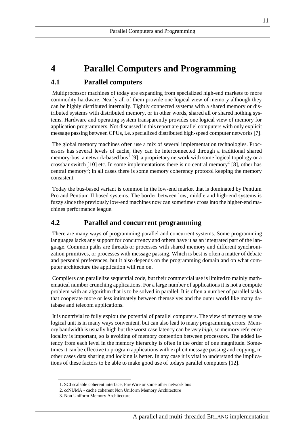# **4 Parallel Computers and Programming**

## **4.1 Parallel computers**

Multiprocessor machines of today are expanding from specialized high-end markets to more commodity hardware. Nearly all of them provide one logical view of memory although they can be highly distributed internally. Tightly connected systems with a shared memory or distributed systems with distributed memory, or in other words, shared all or shared nothing systems. Hardware and operating system transparently provides one logical view of memory for application programmers. Not discussed in this report are parallel computers with only explicit message passing between CPUs, i.e. specialized distributed high-speed computer networks [7].

The global memory machines often use a mix of several implementation technologies. Processors has several levels of cache, they can be interconnected through a traditional shared memory-bus, a network-based bus<sup>1</sup> [9], a proprietary network with some logical topology or a crossbar switch [10] etc. In some implementations there is no central memory<sup>2</sup> [8], other has central memory<sup>3</sup>; in all cases there is some memory coherency protocol keeping the memory consistent.

Today the bus-based variant is common in the low-end market that is dominated by Pentium Pro and Pentium II based systems. The border between low, middle and high-end systems is fuzzy since the previously low-end machines now can sometimes cross into the higher-end machines performance league.

### **4.2 Parallel and concurrent programming**

There are many ways of programming parallel and concurrent systems. Some programming languages lacks any support for concurrency and others have it as an integrated part of the language. Common paths are threads or processes with shared memory and different synchronization primitives, or processes with message passing. Which is best is often a matter of debate and personal preferences, but it also depends on the programming domain and on what computer architecture the application will run on.

Compilers can parallelize sequential code, but their commercial use is limited to mainly mathematical number crunching applications. For a large number of applications it is not a compute problem with an algorithm that is to be solved in parallel. It is often a number of parallel tasks that cooperate more or less intimately between themselves and the outer world like many database and telecom applications.

It is nontrivial to fully exploit the potential of parallel computers. The view of memory as one logical unit is in many ways convenient, but can also lead to many programming errors. Memory bandwidth is usually high but the worst case latency can be *very high*, so memory reference locality is important, so is avoiding of memory contention between processors. The added latency from each level in the memory hierarchy is often in the order of one magnitude. Sometimes it can be effective to program applications with explicit message passing and copying, in other cases data sharing and locking is better. In any case it is vital to understand the implications of these factors to be able to make good use of todays parallel computers [12].

<sup>1.</sup> SCI scalable coherent interface, FireWire or some other network bus

<sup>2.</sup> ccNUMA - cache coherent Non Uniform Memory Architecture

<sup>3.</sup> Non Uniform Memory Architecture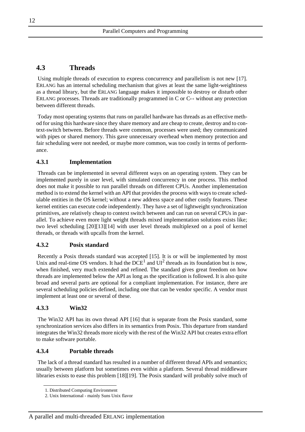## **4.3 Threads**

Using multiple threads of execution to express concurrency and parallelism is not new [17]. ERLANG has an internal scheduling mechanism that gives at least the same light-weightiness as a thread library, but the ERLANG language makes it impossible to destroy or disturb other ERLANG processes. Threads are traditionally programmed in  $C$  or  $C_{++}$  without any protection between different threads.

Today most operating systems that runs on parallel hardware has threads as an effective method for using this hardware since they share memory and are cheap to create, destroy and to context-switch between. Before threads were common, processes were used; they communicated with pipes or shared memory. This gave unnecessary overhead when memory protection and fair scheduling were not needed, or maybe more common, was too costly in terms of performance.

#### **4.3.1 Implementation**

Threads can be implemented in several different ways on an operating system. They can be implemented purely in user level, with simulated concurrency in one process. This method does not make it possible to run parallel threads on different CPUs. Another implementation method is to extend the kernel with an API that provides the process with ways to create schedulable entities in the OS kernel; without a new address space and other costly features. These kernel entities can execute code independently. They have a set of lightweight synchronization primitives, are relatively cheap to context switch between and can run on several CPUs in parallel. To achieve even more light weight threads mixed implementation solutions exists like; two level scheduling [20][13][14] with user level threads multiplexed on a pool of kernel threads, or threads with upcalls from the kernel.

#### **4.3.2 Posix standard**

Recently a Posix threads standard was accepted [15]. It is or will be implemented by most Unix and real-time OS vendors. It had the  $DCE<sup>1</sup>$  and  $UI<sup>2</sup>$  threads as its foundation but is now, when finished, very much extended and refined. The standard gives great freedom on how threads are implemented below the API as long as the specification is followed. It is also quite broad and several parts are optional for a compliant implementation. For instance, there are several scheduling policies defined, including one that can be vendor specific. A vendor must implement at least one or several of these.

#### **4.3.3 Win32**

The Win32 API has its own thread API [16] that is separate from the Posix standard, some synchronization services also differs in its semantics from Posix. This departure from standard integrates the Win32 threads more nicely with the rest of the Win32 API but creates extra effort to make software portable.

### **4.3.4 Portable threads**

The lack of a thread standard has resulted in a number of different thread APIs and semantics; usually between platform but sometimes even within a platform. Several thread middleware libraries exists to ease this problem [18][19]. The Posix standard will probably solve much of

<sup>1.</sup> Distributed Computing Environment

<sup>2.</sup> Unix International - mainly Suns Unix flavor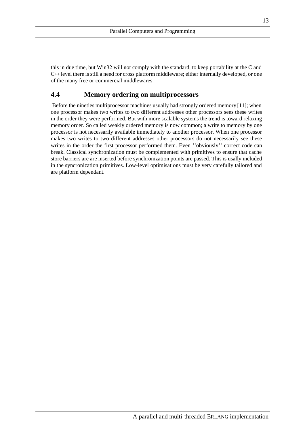this in due time, but Win32 will not comply with the standard, to keep portability at the C and C++ level there is still a need for cross platform middleware; either internally developed, or one of the many free or commercial middlewares.

### **4.4 Memory ordering on multiprocessors**

Before the nineties multiprocessor machines usually had strongly ordered memory [11]; when one processor makes two writes to two different addresses other processors sees these writes in the order they were performed. But with more scalable systems the trend is toward relaxing memory order. So called weakly ordered memory is now common; a write to memory by one processor is not necessarily available immediately to another processor. When one processor makes two writes to two different addresses other processors do not necessarily see these writes in the order the first processor performed them. Even ''obviously'' correct code can break. Classical synchronization must be complemented with primitives to ensure that cache store barriers are are inserted before synchronization points are passed. This is usally included in the syncronization primitives. Low-level optimisations must be very carefully tailored and are platform dependant.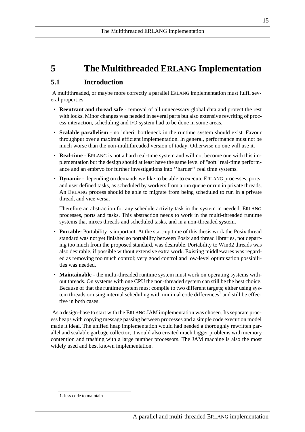# **5 The Multithreaded ERLANG Implementation**

## **5.1 Introduction**

A multithreaded, or maybe more correctly a parallel ERLANG implementation must fulfil several properties:

- **Reentrant and thread safe**  removal of all unnecessary global data and protect the rest with locks. Minor changes was needed in several parts but also extensive rewriting of process interaction, scheduling and I/O system had to be done in some areas.
- **Scalable parallelism**  no inherit bottleneck in the runtime system should exist. Favour throughput over a maximal efficient implementation. In general, performance must not be much worse than the non-multithreaded version of today. Otherwise no one will use it.
- **Real-time** ERLANG is not a hard real-time system and will not become one with this implementation but the design should at least have the same level of "soft" real-time performance and an embryo for further investigations into ''harder'' real time systems.
- **Dynamic** depending on demands we like to be able to execute ERLANG processes, ports, and user defined tasks, as scheduled by workers from a run queue or run in private threads. An ERLANG process should be able to migrate from being scheduled to run in a private thread, and vice versa.

Therefore an abstraction for any schedule activity task in the system in needed, ERLANG processes, ports and tasks. This abstraction needs to work in the multi-threaded runtime systems that mixes threads and scheduled tasks, and in a non-threaded system.

- **Portable** Portability is important. At the start-up time of this thesis work the Posix thread standard was not yet finished so portability between Posix and thread libraries, not departing too much from the proposed standard, was desirable. Portability to Win32 threads was also desirable, if possible without extensive extra work. Existing middlewares was regarded as removing too much control; very good control and low-level optimisation possibilities was needed.
- **Maintainable** the multi-threaded runtime system must work on operating systems without threads. On systems with one CPU the non-threaded system can still be the best choice. Because of that the runtime system must compile to two different targets; either using system threads or using internal scheduling with minimal code differences<sup>1</sup> and still be effective in both cases.

As a design-base to start with the ERLANG JAM implementation was chosen. Its separate process heaps with copying message passing between processes and a simple code execution model made it ideal. The unified heap implementation would had needed a thoroughly rewritten parallel and scalable garbage collector, it would also created much bigger problems with memory contention and trashing with a large number processors. The JAM machine is also the most widely used and best known implementation.

<sup>1.</sup> less code to maintain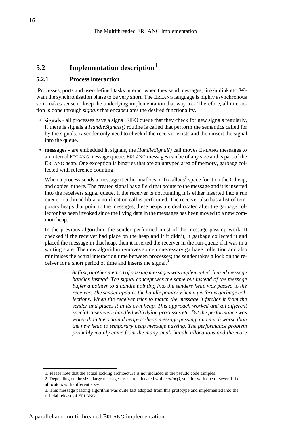## **5.2 Implementation description 1**

#### **5.2.1 Process interaction**

Processes, ports and user-defined tasks interact when they send messages, link/unlink etc. We want the synchronisation phase to be very short. The ERLANG language is highly asynchronous so it makes sense to keep the underlying implementation that way too. Therefore, all interaction is done through *signals* that encapsulates the desired functionality.

- **signals -** all processes have a signal FIFO queue that they check for new signals regularly, if there is signals a *HandleSignals()* routine is called that perform the semantics called for by the signals. A sender only need to check if the receiver exists and then insert the signal into the queue.
- **messages** are embedded in signals, the *HandleSignal()* call moves ERLANG messages to an internal ERLANG message queue. ERLANG messages can be of any size and is part of the ERLANG heap. One exception is binaries that are an untyped area of memory, garbage collected with reference counting.

When a process sends a message it either mallocs or fix-allocs<sup>2</sup> space for it on the C heap, and copies it there. The created signal has a field that points to the message and it is inserted into the receivers signal queue. If the receiver is not running it is either inserted into a run queue or a thread library notification call is performed. The receiver also has a list of temporary heaps that point to the messages, these heaps are deallocated after the garbage collector has been invoked since the living data in the messages has been moved to a new common heap.

In the previous algorithm, the sender performed most of the message passing work. It checked if the receiver had place on the heap and if it didn't, it garbage collected it and placed the message in that heap, then it inserted the receiver in the run-queue if it was in a waiting state. The new algorithm removes some unnecessary garbage collection and also minimises the actual interaction time between processes; the sender takes a lock on the receiver for a short period of time and inserts the signal. 3

> *— At first, another method of passing messages was implemented. It used message handles instead. The signal concept was the same but instead of the message buffer a pointer to a handle pointing into the senders heap was passed to the receiver. The sender updates the handle pointer when it performs garbage collections. When the receiver tries to match the message it fetches it from the sender and places it in its own heap. This approach worked and all different special cases were handled with dying processes etc. But the performance was worse than the original heap- to-heap message passing, and much worse than the new heap to temporary heap message passing. The performance problem probably mainly came from the many small handle allocations and the more*

<sup>1.</sup> Please note that the actual locking architecture is not included in the pseudo code samples.

<sup>2.</sup> Depending on the size, large messages uses are allocated with *malloc(),* smaller with one of several fix allocators with different sizes.

<sup>3.</sup> This message passing algorithm was quite fast adopted from this prototype and implemented into the official release of ERLANG.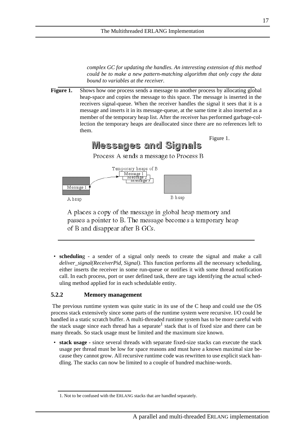*complex GC for updating the handles. An interesting extension of this method could be to make a new pattern-matching algorithm that only copy the data bound to variables at the receiver.*

**Figure 1.** Shows how one process sends a message to another process by allocating global heap-space and copies the message to this space. The message is inserted in the receivers signal-queue. When the receiver handles the signal it sees that it is a message and inserts it in its message-queue, at the same time it also inserted as a member of the temporary heap list. After the receiver has performed garbage-collection the temporary heaps are deallocated since there are no references left to them.

Figure 1.

# **Messages and Signals**

Process A sends a message to Process B



A places a copy of the message in global heap memory and passes a pointer to B. The message becomes a temporary heap of B and disappear after B GCs.

• **schedulin**g - a sender of a signal only needs to create the signal and make a call *deliver* signal(ReceiverPid, Signal). This function performs all the necessary scheduling, either inserts the receiver in some run-queue or notifies it with some thread notification call. In each process, port or user defined task, there are tags identifying the actual scheduling method applied for in each schedulable entity.

#### **5.2.2 Memory management**

The previous runtime system was quite static in its use of the C heap and could use the OS process stack extensively since some parts of the runtime system were recursive. I/O could be handled in a static scratch buffer. A multi-threaded runtime system has to be more careful with the stack usage since each thread has a separate<sup>1</sup> stack that is of fixed size and there can be many threads. So stack usage must be limited and the maximum size known.

• **stack usage -** since several threads with separate fixed-size stacks can execute the stack usage per thread must be low for space reasons and must have a known maximal size because they cannot grow. All recursive runtime code was rewritten to use explicit stack handling. The stacks can now be limited to a couple of hundred machine-words.

<sup>1.</sup> Not to be confused with the ERLANG stacks that are handled separately.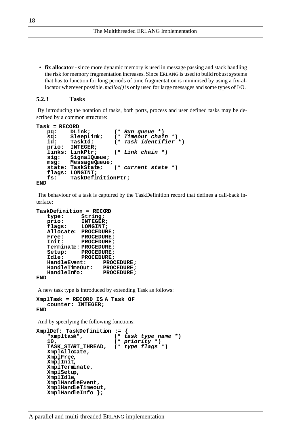• **fix allocator** - since more dynamic memory is used in message passing and stack handling the risk for memory fragmentation increases. Since ERLANG is used to build robust systems that has to function for long periods of time fragmentation is minimised by using a fix-allocator wherever possible. *malloc()* is only used for large messages and some types of I/O.

#### **5.2.3 Tasks**

By introducing the notation of tasks, both ports, process and user defined tasks may be described by a common structure:

```
Task = RECORD
   pq: DLink; (* Run queue *)
   sq: SleepLink; (* Timeout chain *)
                       id: TaskId; (* Task identifier *)
   prio: INTEGER;
   links: LinkPtr; (* Link chain *)
          sig: SignalQueue;
   msg: MessageQueue;
   state: TaskState; (* current state *)
   flags: LONGINT;
   fs: TaskDefinitionPtr;
END
```

```
The behaviour of a task is captured by the TaskDefinition record that defines a call-back in-
terface:
```

```
TaskDefinition = RECORD
   type: String;
   prio: INTEGER;<br>flags: LONGINT;
               flags: LONGINT;
   Allocate: PROCEDURE;
   Free: PROCEDURE;<br>Init: PROCEDURE;
               Init: PROCEDURE;
   Terminate: PROCEDURE;
   Setup: PROCEDURE;
               Idle: PROCEDURE;
   HandleEvent: PROCEDURE;
   HandlerimeOut:HandleInfo: PROCEDURE;
END
```
A new task type is introduced by extending Task as follows:

```
XmplTask = RECORD IS A Task OF
   counter: INTEGER;
END
```
And by specifying the following functions:

```
XmplDef: TaskDefinition := {
   "xmpltask", (* task type name *)
   10, (* priority *)
                        TASK_START_THREAD, (* type flags *)
   XmplAllocate,
   XmplFree,
   XmplInit,
   XmplTerminate,
   XmplSetup,
   XmplIdle, 
   XmplHandleEvent,
   XmplHandleTimeout,
   XmplHandleInfo };
```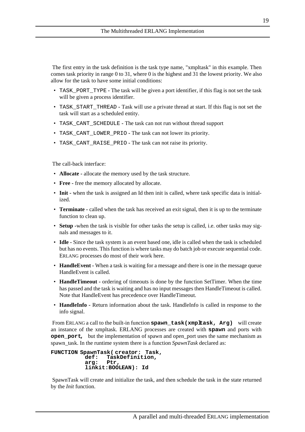The first entry in the task definition is the task type name, "xmpltask" in this example. Then comes task priority in range 0 to 31, where 0 is the highest and 31 the lowest priority. We also allow for the task to have some initial conditions:

- TASK\_PORT\_TYPE The task will be given a port identifier, if this flag is not set the task will be given a process identifier.
- TASK\_START\_THREAD Task will use a private thread at start. If this flag is not set the task will start as a scheduled entity.
- TASK\_CANT\_SCHEDULE The task can not run without thread support
- TASK\_CANT\_LOWER\_PRIO The task can not lower its priority.
- TASK\_CANT\_RAISE\_PRIO The task can not raise its priority.

The call-back interface:

- **Allocate** allocate the memory used by the task structure.
- Free free the memory allocated by allocate.
- **Init -** when the task is assigned an Id then init is called, where task specific data is initialized.
- **Terminate -** called when the task has received an exit signal, then it is up to the terminate function to clean up.
- **Setup -**when the task is visible for other tasks the setup is called, i.e. other tasks may signals and messages to it.
- **Idle -** Since the task system is an event based one, idle is called when the task is scheduled but has no events. This function is where tasks may do batch job or execute sequential code. ERLANG processes do most of their work here.
- **HandleEvent** When a task is waiting for a message and there is one in the message queue HandleEvent is called.
- **HandleTimeout -** ordering of timeouts is done by the function SetTimer. When the time has passed and the task is waiting and has no input messages then HandleTimeout is called. Note that HandleEvent has precedence over HandleTimeout.
- **HandleInfo** Return information about the task. HandleInfo is called in response to the info signal.

From ERLANG a call to the built-in function **spawn\_task(xmpltask, Arg)** will create an instance of the xmpltask. ERLANG processes are created with **spawn** and ports with **open\_port,** but the implementation of spawn and open\_port uses the same mechanism as spawn\_task. In the runtime system there is a function *SpawnTask* declared as:

```
FUNCTION SpawnTask( creator: Task,
                 def: TaskDefinition,
           arg: Ptr,
           linkit:BOOLEAN): Id
```
SpawnTask will create and initialize the task, and then schedule the task in the state returned by the *Init* function.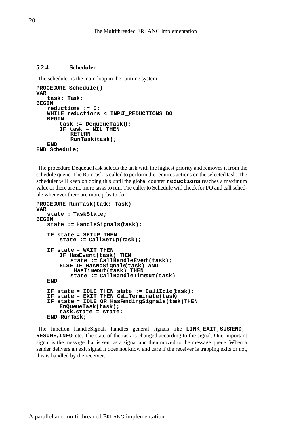#### **5.2.4 Scheduler**

The scheduler is the main loop in the runtime system:

```
PROCEDURE Schedule()
VAR
   task: Task;
BEGIN
   reductions := 0;
   WHILE reductions < INPUT_REDUCTIONS DO
   BEGIN
       task := DequeueTask();
       IF task = NIL THEN
          RETURN
          RunTask(task);
   END
END Schedule;
```
The procedure DequeueTask selects the task with the highest priority and removes it from the schedule queue. The RunTask is called to perform the requires actions on the selected task. The scheduler will keep on doing this until the global counter **reductions** reaches a maximum value or there are no more tasks to run. The caller to Schedule will check for I/O and call schedule whenever there are more jobs to do.

```
PROCEDURE RunTask(task: Task)
VAR
   state : TaskState;
BEGIN
   state := HandleSignals(task);
   IF state = SETUP THEN 
       state := CallSetup(task);
   IF state = WAIT THEN
       IF HasEvent(task) THEN
          state := CallHandleEvent(task);
       ELSE IF HasNoSignals(task) AND
           HasTimeout(task) THEN
          state := CallHandleTimeout(task)
   END
   IF state = IDLE THEN state := CallIdle(task);
   IF state = EXIT THEN CallTerminate(task)
   IF state = IDLE OR HasPendingSignals(task)THEN
       EnQueueTask(task);
       task.state = state;
   END RunTask;
```
The function HandleSignals handles general signals like **LINK, EXIT, SUSEND, RESUME,INFO** etc. The state of the task is changed according to the signal. One important signal is the message that is sent as a signal and then moved to the message queue. When a sender delivers an exit signal it does not know and care if the receiver is trapping exits or not, this is handled by the receiver.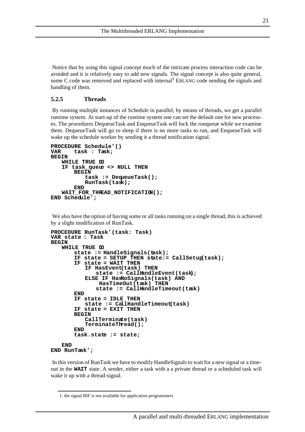Notice that by using this signal concept much of the intricate process interaction code can be avoided and it is relatively easy to add new signals. The signal concept is also quite general, some C code was removed and replaced with internal<sup>1</sup> ERLANG code sending the signals and handling of them.

#### **5.2.5 Threads**

By running multiple instances of Schedule in parallel, by means of threads, we get a parallel runtime system. At start-up of the runtime system one can set the default one for new processes. The procedures DequeueTask and EnqueueTask will lock the runqueue while we examine them. DequeueTask will go to sleep if there is no more tasks to run, and EnqueueTask will wake up the schedule worker by sending it a thread notification signal.

```
PROCEDURE Schedule'()
VAR task : Task;
BEGIN 
   WHILE TRUE DO
   IF task_queue <> NULL THEN 
       BEGIN
          task := DequeueTask();
          RunTask(task);
       END
   WAIT FOR THREAD NOTIFICATION();
END Schedule';
```
We also have the option of having some or all tasks running on a single thread, this is achieved by a slight modification of RunTask.

```
PROCEDURE RunTask'(task: Task)
VAR state : Task
BEGIN 
   WHILE TRUE DO
       state := HandleSignals(task);
       IF state = SETUP THEN state:= CallSetup(task);
       IF state = WAIT THEN
          IF HasEvent(task) THEN
              state := CallHandleEvent(task);
          ELSE IF HasNoSignals(task) AND
              HasTimeOut(task) THEN
              state := CallHandleTimeout(task)
       END
       IF state = IDLE THEN 
          state := CallHandleTimeout(task)
       IF state = EXIT THEN 
       BEGIN 
          CallTerminate(task)
          TerminateThread();
       END
       task.state := state;
   END
END RunTask';
```
In this version of RunTask we have to modify HandleSignals to wait for a new signal or a timeout in the **WAIT** state. A sender, either a task with a a private thread or a scheduled task will wake it up with a thread-signal.

<sup>1.</sup> the signal BIF is not available for application programmers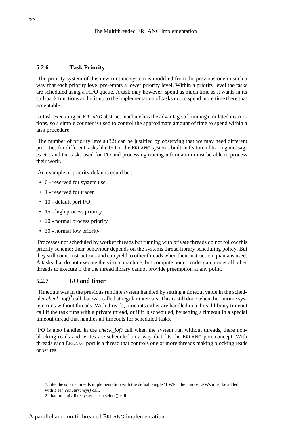#### **5.2.6 Task Priority**

The priority system of this new runtime system is modified from the previous one in such a way that each priority level pre-empts a lower priority level. Within a priority level the tasks are scheduled using a FIFO queue. A task may however, spend as much time as it wants in its call-back functions and it is up to the implementation of tasks not to spend more time there that acceptable.

A task executing an ERLANG abstract machine has the advantage of running emulated instructions, so a simple counter is used to control the approximate amount of time to spend within a task procedure.

The number of priority levels (32) can be justified by observing that we may need different priorities for different tasks like I/O or the ERLANG systems built-in feature of tracing messages etc, and the tasks used for I/O and processing tracing information must be able to process their work.

An example of priority defaults could be :

- 0 reserved for system use
- 1 reserved for tracer
- 10 default port I/O
- 15 high process priority
- 20 normal process priority
- 30 normal low priority

Processes not scheduled by worker threads but running with private threads do not follow this priority scheme; their behaviour depends on the systems thread library scheduling policy. But they still count instructions and can yield to other threads when their instruction quanta is used. A tasks that do not execute the virtual machine, but compute bound code, can hinder all other threads to execute if the the thread library cannot provide preemption at any point.<sup>1</sup>

#### **5.2.7 I/O and timer**

Timeouts was in the previous runtime system handled by setting a timeout value in the scheduler *check\_io()*<sup>2</sup> call that was called at regular intervals. This is still done when the runtime system runs without threads. With threads, timeouts either are handled in a thread library timeout call if the task runs with a private thread, or if it is scheduled, by setting a timeout in a special timeout thread that handles all timeouts for scheduled tasks.

I/O is also handled in the *check\_io()* call when the system run without threads, there nonblocking reads and writes are scheduled in a way that fits the ERLANG port concept. With threads each ERLANG port is a thread that controls one or more threads making blocking reads or writes.

<sup>1.</sup> like the solaris threads implementation with the defualt single "LWP", then more LPWs must be added with a *set\_concurrency()* call.

<sup>2.</sup> that on Unix like systems is a select() call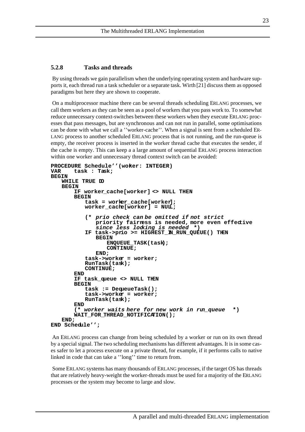#### **5.2.8 Tasks and threads**

By using threads we gain parallelism when the underlying operating system and hardware supports it, each thread run a task scheduler or a separate task. Wirth [21] discuss them as opposed paradigms but here they are shown to cooperate.

On a multiprocessor machine there can be several threads scheduling ERLANG processes, we call them workers as they can be seen as a pool of workers that you pass work to. To somewhat reduce unnecessary context-switches between these workers when they execute ERLANG processes that pass messages, but are synchronous and can not run in parallel, some optimisations can be done with what we call a ''worker-cache''. When a signal is sent from a scheduled ER-LANG process to another scheduled ERLANG process that is not running, and the run-queue is empty, the receiver process is inserted in the worker thread cache that executes the sender, if the cache is empty. This can keep a a large amount of sequential ERLANG process interaction within one worker and unnecessary thread context switch can be avoided:

```
PROCEDURE Schedule''(woker: INTEGER)<br>VAR task: Task:
       VAR task : Task;
BEGIN 
   WHILE TRUE DO 
   BEGIN
       IF worker_cache[worker] <> NULL THEN
       BEGIN
           task = worker_cache[worker];
           worker cache[worker] = NULL;
           (* prio check can be omitted if not strict
              priority fairness is needed, more even effective 
              since less locking is needed *)
           IF task->prio >= HIGHEST_IN_RUN_QUEUE() THEN
              BEGIN
                  ENQUEUE_TASK(task);
                  CONTINUE;
              END;
           task->worker = worker;
           RunTask(task);
           CONTINUE;
       END
       IF task_queue <> NULL THEN 
       BEGIN
           task := DequeueTask();
           task->worker = worker;
           RunTask(task);
       END
       (* worker waits here for new work in run_queue *)
       WAIT_FOR_THREAD_NOTIFICATION();
   END;
END Schedule'';
```
An ERLANG process can change from being scheduled by a worker or run on its own thread by a special signal. The two scheduling mechanisms has different advantages. It is in some cases safer to let a process execute on a private thread, for example, if it performs calls to native linked in code that can take a ''long'' time to return from.

Some ERLANG systems has many thousands of ERLANG processes, if the target OS has threads that are relatively heavy-weight the worker-threads must be used for a majority of the ERLANG processes or the system may become to large and slow.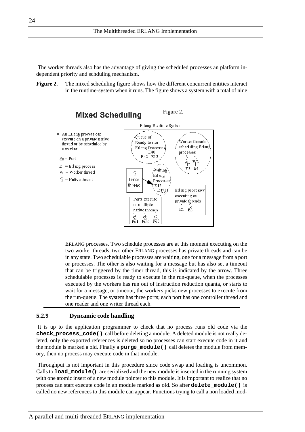The worker threads also has the advantage of giving the scheduled processes an platform independent priority and schduling mechanism.

**Figure 2.** The mixed scheduling figure shows how the different concurrent entities interact in the runtime-system when it runs. The figure shows a system with a total of nine



ERLANG processes. Two schedule processes are at this moment executing on the two worker threads, two other ERLANG processes has private threads and can be in any state. Two schedulable processes are waiting, one for a message from a port or processes. The other is also waiting for a message but has also set a timeout that can be triggered by the timer thread, this is indicated by the arrow. Three schedulable processes is ready to execute in the run-queue, when the processes executed by the workers has run out of instruction reduction quanta, or starts to wait for a message, or timeout, the workers picks new processes to execute from the run-queue. The system has three ports; each port has one controller thread and one reader and one writer thread each.

#### **5.2.9 Dyncamic code handling**

It is up to the application programmer to check that no process runs old code via the **check\_process\_code()** call before deleting a module. A deleted module is not really deleted, only the exported references is deleted so no processes can start execute code in it and the module is marked a old. Finally a **purge\_module()** call deletes the module from memory, then no process may execute code in that module.

Throughput is not important in this procedure since code swap and loading is uncommon. Calls to **load\_module()** are serialized and the new module is inserted in the running system with one atomic insert of a new module pointer to this module. It is important to realize that no process can start execute code in an module marked as old. So after **delete\_module()** is called no new references to this module can appear. Functions trying to call a non loaded mod-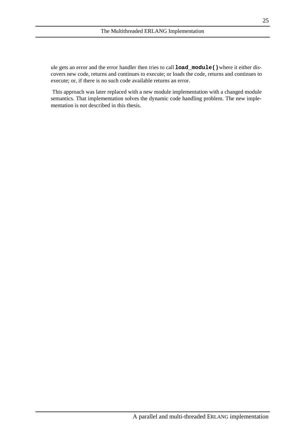ule gets an error and the error handler then tries to call **load\_module()**where it either discovers new code, returns and continues to execute; or loads the code, returns and continues to execute; or, if there is no such code available returns an error.

This approach was later replaced with a new module implementation with a changed module semantics. That implementation solves the dynamic code handling problem. The new implementation is not described in this thesis.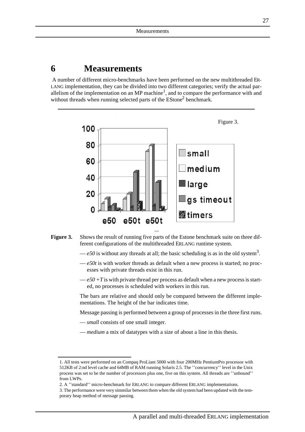## **6 Measurements**

A number of different micro-benchmarks have been performed on the new multithreaded ER-LANG implementation, they can be divided into two different categories; verify the actual parallelism of the implementation on an MP machine<sup>1</sup>, and to compare the performance with and without threads when running selected parts of the EStone<sup>2</sup> benchmark.



- **Figure 3.** Shows the result of running five parts of the Estone benchmark suite on three different configurations of the multithreaded ERLANG runtime system.
	- $-e50$  is without any threads at all; the basic scheduling is as in the old system<sup>3</sup>.
	- $\frac{d}{dt}$  = *e50t* is with worker threads as default when a new process is started; no processes with private threads exist in this run.
	- $-e50+T$  is with private thread per process as default when a new process is started, no processes is scheduled with workers in this run.

The bars are relative and should only be compared between the different implementations. The height of the bar indicates time.

Message passing is performed between a group of processes in the three first runs.

- *small* consists of one small integer.
- *medium* a mix of datatypes with a size of about a line in this thesis.

<sup>1.</sup> All tests were performed on an Compaq ProLiant 5000 with four 200MHz PentiumPro processor with 512KB of 2:nd level cache and 64MB of RAM running Solaris 2.5. The ''concurrency'' level in the Unix process was set to be the number of processors plus one, five on this system. All threads are ''unbound'' from LWPs.

<sup>2.</sup> A ''standard'' micro-benchmark for ERLANG to compare different ERLANG implementations.

<sup>3.</sup> The performance were very simmilar between them when the old system had been updated with the temporary heap method of message passing.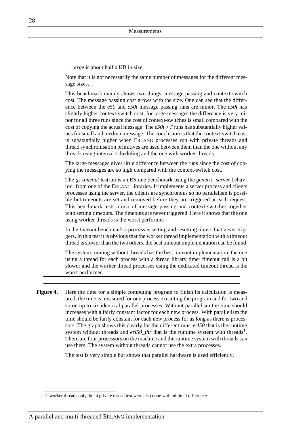— l*arge* is about half a KB in size.

Note that it is not necessarily the same number of messages for the different message sizes.

This benchmark mainly shows two things, message passing and context-switch cost. The message passing cost grows with the size. One can see that the difference between the *e50* and *e50t* message passing runs are minor. The *e50t* has slightly higher context-switch cost; for large messages the difference is very minor for all three runs since the cost of context-switches is small compared with the cost of copying the actual message. The *e50t +T* runs has substantially higher values for small and medium message. The conclusion is that the context-switch cost is substantially higher when ERLANG processes run with private threads and thread synchronisation primitives are used between them than the one without any threads using internal scheduling and the one with worker threads.

The large messages gives little difference between the runs since the cost of copying the messages are so high compared with the context-switch cost.

The *gs timeout* testrun is an EStone benchmark using the *generic\_server* behaviour from one of the ERLANG libraries. It implements a server process and clients processes using the server, the clients are synchronous so no parallelism is possible but timeouts are set and removed before they are triggered at each request. This benchmark tests a mix of message passing and context-switches together with setting timeouts. The timeouts are never triggered. Here it shows that the one using worker threads is the worst performer.

In the *timeout* benchmark a process is setting and resetting timers that never triggers. In this test it is obvious that the worker thread implementation with a timeout thread is slower than the two others, the best timeout implementation can be found

The system running without threads has the best timeout implementation, the one using a thread for each process with a thread library timer timeout call is a bit slower and the worker thread processes using the dedicated timeout thread is the worst performer.

**Figure 4.** Here the time for a simple computing program to finish its calculation is measured, the time is measured for one process executing the program and for two and so on up to six identical parallel processes. Without parallelism the time should increases with a fairly constant factor for each new process. With parallelism the time should be fairly constant for each new process for as long as there is processors. The graph shows this clearly for the different runs, *erl50* that is the runtime system without threads and *erl50\_thr* that is the runtime system with threads<sup>1</sup>. There are four processors on the machine and the runtime system with threads can use them. The system without threads cannot use the extra processes.

The test is very simple but shows that parallel hardware is used efficiently.

<sup>1.</sup> worker threads only, but a private thread test were also done with minimal difference.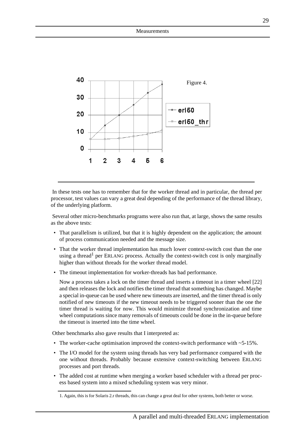

In these tests one has to remember that for the worker thread and in particular, the thread per processor, test values can vary a great deal depending of the performance of the thread library, of the underlying platform.

Several other micro-benchmarks programs were also run that, at large, shows the same results as the above tests:

- That parallelism is utilized, but that it is highly dependent on the application; the amount of process communication needed and the message size.
- That the worker thread implementation has much lower context-switch cost than the one using a thread<sup>1</sup> per ERLANG process. Actually the context-switch cost is only marginally higher than without threads for the worker thread model.
- The timeout implementation for worker-threads has bad performance.

Now a process takes a lock on the timer thread and inserts a timeout in a timer wheel [22] and then releases the lock and notifies the timer thread that something has changed. Maybe a special in-queue can be used where new timeouts are inserted, and the timer thread is only notified of new timeouts if the new timeout needs to be triggered sooner than the one the timer thread is waiting for now. This would minimize thread synchronization and time wheel computations since many removals of timeouts could be done in the in-queue before the timeout is inserted into the time wheel.

Other benchmarks also gave results that I interpreted as:

- The worker-cache optimisation improved the context-switch performance with  $\sim$  5-15%.
- The I/O model for the system using threads has very bad performance compared with the one without threads. Probably because extensive context-switching between ERLANG processes and port threads.
- The added cost at runtime when merging a worker based scheduler with a thread per process based system into a mixed scheduling system was very minor.

<sup>1.</sup> Again, this is for Solaris 2.r threads, this can change a great deal for other systems, both better or worse.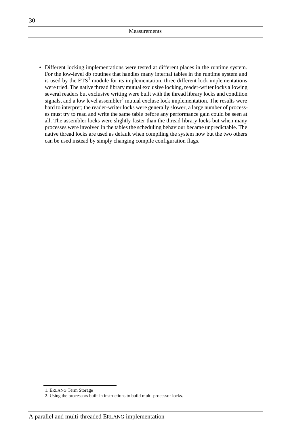Measurements

• Different locking implementations were tested at different places in the runtime system. For the low-level db routines that handles many internal tables in the runtime system and is used by the  $ETS<sup>1</sup>$  module for its implementation, three different lock implementations were tried. The native thread library mutual exclusive locking, reader-writer locks allowing several readers but exclusive writing were built with the thread library locks and condition signals, and a low level assembler<sup>2</sup> mutual excluse lock implementation. The results were hard to interpret; the reader-writer locks were generally slower, a large number of processes must try to read and write the same table before any performance gain could be seen at all. The assembler locks were slightly faster than the thread library locks but when many processes were involved in the tables the scheduling behaviour became unpredictable. The native thread locks are used as default when compiling the system now but the two others can be used instead by simply changing compile configuration flags.

<sup>1.</sup> ERLANG Term Storage

<sup>2.</sup> Using the processors built-in instructions to build multi-processor locks.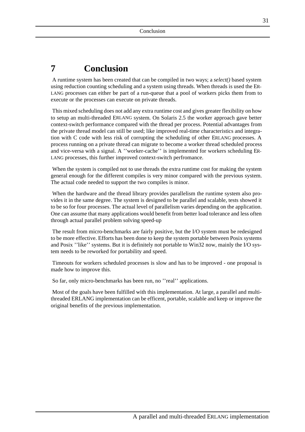# **7 Conclusion**

A runtime system has been created that can be compiled in two ways; a *select()* based system using reduction counting scheduling and a system using threads. When threads is used the ER-LANG processes can either be part of a run-queue that a pool of workers picks them from to execute or the processes can execute on private threads.

This mixed scheduling does not add any extra runtime cost and gives greater flexibility on how to setup an multi-threaded ERLANG system. On Solaris 2.5 the worker approach gave better context-switch performance compared with the thread per process. Potential advantages from the private thread model can still be used; like improved real-time characteristics and integration with C code with less risk of corrupting the scheduling of other ERLANG processes. A process running on a private thread can migrate to become a worker thread scheduled process and vice-versa with a signal. A ''worker-cache'' is implemented for workers scheduling ER-LANG processes, this further improved context-switch perfromance.

When the system is compiled not to use threads the extra runtime cost for making the system general enough for the different compiles is very minor compared with the previous system. The actual code needed to support the two compiles is minor.

When the hardware and the thread library provides parallelism the runtime system also provides it in the same degree. The system is designed to be parallel and scalable, tests showed it to be so for four processes. The actual level of parallelism varies depending on the application. One can assume that many applications would benefit from better load tolerance and less often through actual parallel problem solving speed-up

The result from micro-benchmarks are fairly positive, but the I/O system must be redesigned to be more effective. Efforts has been done to keep the system portable between Posix systems and Posix ''like'' systems. But it is definitely not portable to Win32 now, mainly the I/O system needs to be reworked for portability and speed.

Timeouts for workers scheduled processes is slow and has to be improved - one proposal is made how to improve this.

So far, only micro-benchmarks has been run, no ''real'' applications.

Most of the goals have been fulfilled with this implementation. At large, a parallel and multithreaded ERLANG implementation can be efficent, portable, scalable and keep or improve the original benefits of the previous implementation.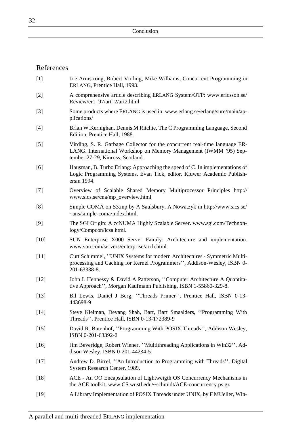## References

| $[1]$  | Joe Armstrong, Robert Virding, Mike Williams, Concurrent Programming in<br>ERLANG, Prentice Hall, 1993.                                                                             |
|--------|-------------------------------------------------------------------------------------------------------------------------------------------------------------------------------------|
| $[2]$  | A comprehensive article describing ERLANG System/OTP: www.ericsson.se/<br>Review/er1_97/art_2/art2.html                                                                             |
| $[3]$  | Some products where ERLANG is used in: www.erlang.se/erlang/sure/main/ap-<br>plications/                                                                                            |
| $[4]$  | Brian W.Kernighan, Dennis M Ritchie, The C Programming Language, Second<br>Edition, Prentice Hall, 1988.                                                                            |
| $[5]$  | Virding, S. R. Garbage Collector for the concurrent real-time language ER-<br>LANG. International Workshop on Memory Management (IWMM '95) Sep-<br>tember 27-29, Kinross, Scotland. |
| [6]    | Hausman, B. Turbo Erlang: Approaching the speed of C. In implementations of<br>Logic Programming Systems. Evan Tick, editor. Kluwer Academic Publish-<br>ersm 1994.                 |
| $[7]$  | Overview of Scalable Shared Memory Multiprocessor Principles http://<br>www.sics.se/cna/mp_overview.html                                                                            |
| [8]    | Simple COMA on S3.mp by A Saulsbury, A Nowatzyk in http://www.sics.se/<br>$\sim$ ans/simple-coma/index.html.                                                                        |
| [9]    | The SGI Origin: A ccNUMA Highly Scalable Server. www.sgi.com/Technon-<br>logy/Compcon/icsa.html.                                                                                    |
| $[10]$ | SUN Enterprise X000 Server Family: Architecture and implementation.<br>www.sun.com/servers/enterprise/arch.html.                                                                    |
| $[11]$ | Curt Schimmel, "UNIX Systems for modern Architectures - Symmetric Multi-<br>processing and Caching for Kernel Programmers", Addison-Wesley, ISBN 0-<br>201-63338-8.                 |
| $[12]$ | John L Hennessy & David A Patterson, "Computer Architecture A Quantita-<br>tive Approach", Morgan Kaufmann Publishing, ISBN 1-55860-329-8.                                          |
| $[13]$ | Bil Lewis, Daniel J Berg, "Threads Primer", Prentice Hall, ISBN 0-13-<br>443698-9                                                                                                   |
| $[14]$ | Steve Kleiman, Devang Shah, Bart, Bart Smaalders, "Programming With<br>Threads", Prentice Hall, ISBN 0-13-172389-9                                                                  |
| $[15]$ | David R. Butenhof, "Programming With POSIX Threads", Addison Wesley,<br>ISBN 0-201-63392-2                                                                                          |
| $[16]$ | Jim Beveridge, Robert Wiener, "Multithreading Applications in Win32", Ad-<br>dison Wesley, ISBN 0-201-44234-5                                                                       |
| $[17]$ | Andrew D. Birrel, "An Introduction to Programming with Threads", Digital<br>System Research Center, 1989.                                                                           |
| $[18]$ | ACE - An OO Encapsulation of Lightweigth OS Concurrency Mechanisms in<br>the ACE toolkit. www.CS.wustl.edu/~schmidt/ACE-concurrency.ps.gz                                           |
| $[19]$ | A Library Implementation of POSIX Threads under UNIX, by F MUeller, Win-                                                                                                            |